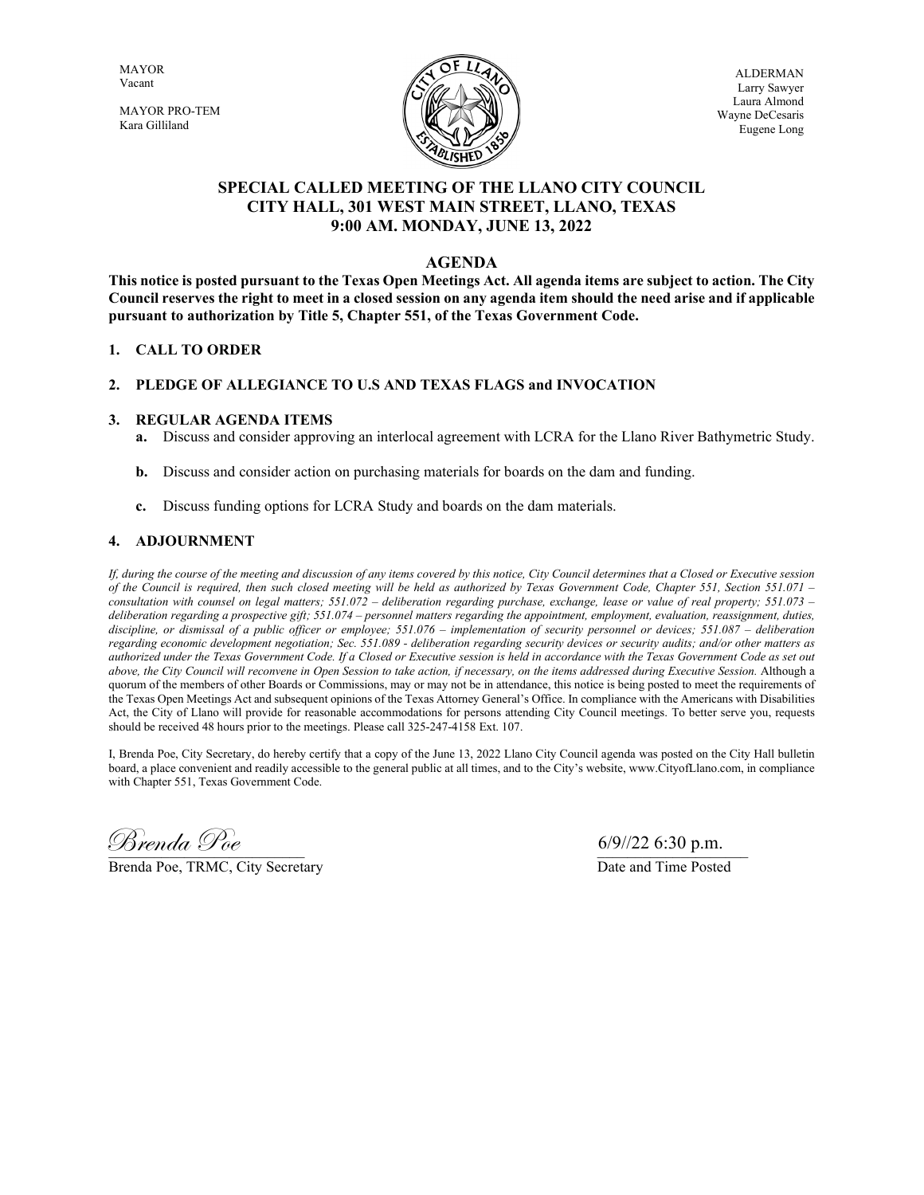MAYOR Vacant

MAYOR PRO-TEM Kara Gilliland



ALDERMAN Larry Sawyer Laura Almond Wayne DeCesaris Eugene Long

# **SPECIAL CALLED MEETING OF THE LLANO CITY COUNCIL CITY HALL, 301 WEST MAIN STREET, LLANO, TEXAS 9:00 AM. MONDAY, JUNE 13, 2022**

### **AGENDA**

**This notice is posted pursuant to the Texas Open Meetings Act. All agenda items are subject to action. The City Council reserves the right to meet in a closed session on any agenda item should the need arise and if applicable pursuant to authorization by Title 5, Chapter 551, of the Texas Government Code.**

#### **1. CALL TO ORDER**

#### **2. PLEDGE OF ALLEGIANCE TO U.S AND TEXAS FLAGS and INVOCATION**

#### **3. REGULAR AGENDA ITEMS**

- **a.** Discuss and consider approving an interlocal agreement with LCRA for the Llano River Bathymetric Study.
- **b.** Discuss and consider action on purchasing materials for boards on the dam and funding.
- **c.** Discuss funding options for LCRA Study and boards on the dam materials.

#### **4. ADJOURNMENT**

*If, during the course of the meeting and discussion of any items covered by this notice, City Council determines that a Closed or Executive session of the Council is required, then such closed meeting will be held as authorized by Texas Government Code, Chapter 551, Section 551.071 – consultation with counsel on legal matters; 551.072 – deliberation regarding purchase, exchange, lease or value of real property; 551.073 – deliberation regarding a prospective gift; 551.074 – personnel matters regarding the appointment, employment, evaluation, reassignment, duties, discipline, or dismissal of a public officer or employee; 551.076 – implementation of security personnel or devices; 551.087 – deliberation regarding economic development negotiation; Sec. 551.089 - deliberation regarding security devices or security audits; and/or other matters as authorized under the Texas Government Code. If a Closed or Executive session is held in accordance with the Texas Government Code as set out above, the City Council will reconvene in Open Session to take action, if necessary, on the items addressed during Executive Session.* Although a quorum of the members of other Boards or Commissions, may or may not be in attendance, this notice is being posted to meet the requirements of the Texas Open Meetings Act and subsequent opinions of the Texas Attorney General's Office. In compliance with the Americans with Disabilities Act, the City of Llano will provide for reasonable accommodations for persons attending City Council meetings. To better serve you, requests should be received 48 hours prior to the meetings. Please call 325-247-4158 Ext. 107.

I, Brenda Poe, City Secretary, do hereby certify that a copy of the June 13, 2022 Llano City Council agenda was posted on the City Hall bulletin board, a place convenient and readily accessible to the general public at all times, and to the City's website, www.CityofLlano.com, in compliance with Chapter 551, Texas Government Code.

\_\_\_\_\_\_\_\_\_\_\_\_\_\_\_\_\_\_\_\_\_\_\_\_\_\_ \_\_\_\_\_\_\_\_\_\_\_\_\_\_\_\_\_\_\_\_ Brenda Poe 6/9//22 6:30 p.m.

Brenda Poe, TRMC, City Secretary Date and Time Posted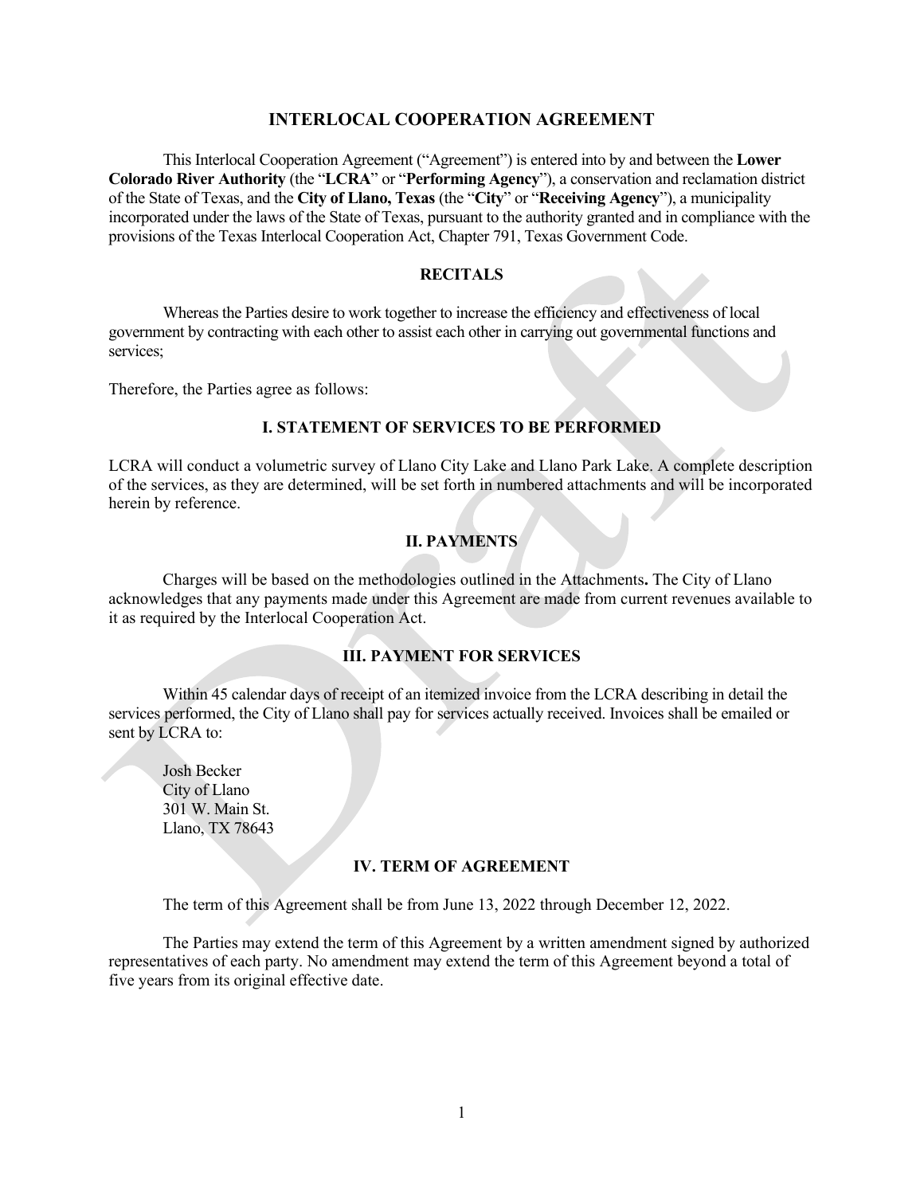### **INTERLOCAL COOPERATION AGREEMENT**

This Interlocal Cooperation Agreement ("Agreement") is entered into by and between the **Lower Colorado River Authority** (the "**LCRA**" or "**Performing Agency**"), a conservation and reclamation district of the State of Texas, and the **City of Llano, Texas** (the "**City**" or "**Receiving Agency**"), a municipality incorporated under the laws of the State of Texas, pursuant to the authority granted and in compliance with the provisions of the Texas Interlocal Cooperation Act, Chapter 791, Texas Government Code.

### **RECITALS**

Whereas the Parties desire to work together to increase the efficiency and effectiveness of local government by contracting with each other to assist each other in carrying out governmental functions and services;

Therefore, the Parties agree as follows:

#### **I. STATEMENT OF SERVICES TO BE PERFORMED**

LCRA will conduct a volumetric survey of Llano City Lake and Llano Park Lake. A complete description of the services, as they are determined, will be set forth in numbered attachments and will be incorporated herein by reference.

### **II. PAYMENTS**

Charges will be based on the methodologies outlined in the Attachments**.** The City of Llano acknowledges that any payments made under this Agreement are made from current revenues available to it as required by the Interlocal Cooperation Act.

### **III. PAYMENT FOR SERVICES**

Within 45 calendar days of receipt of an itemized invoice from the LCRA describing in detail the services performed, the City of Llano shall pay for services actually received. Invoices shall be emailed or sent by LCRA to:

Josh Becker City of Llano 301 W. Main St. Llano, TX 78643

#### **IV. TERM OF AGREEMENT**

The term of this Agreement shall be from June 13, 2022 through December 12, 2022.

The Parties may extend the term of this Agreement by a written amendment signed by authorized representatives of each party. No amendment may extend the term of this Agreement beyond a total of five years from its original effective date.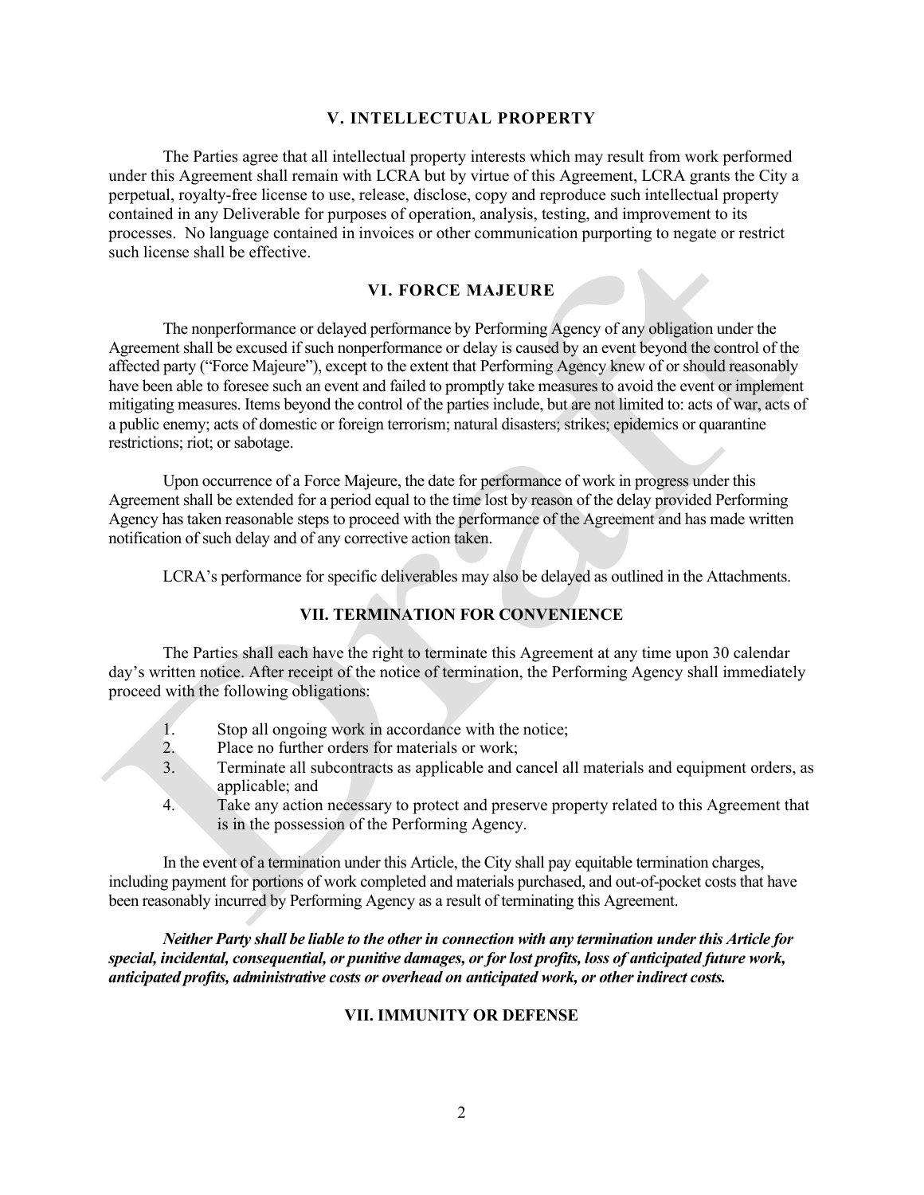## **V. INTELLECTUAL PROPERTY**

The Parties agree that all intellectual property interests which may result from work performed under this Agreement shall remain with LCRA but by virtue of this Agreement, LCRA grants the City a perpetual, royalty-free license to use, release, disclose, copy and reproduce such intellectual property contained in any Deliverable for purposes of operation, analysis, testing, and improvement to its processes. No language contained in invoices or other communication purporting to negate or restrict such license shall be effective.

### **VI. FORCE MAJEURE**

The nonperformance or delayed performance by Performing Agency of any obligation under the Agreement shall be excused if such nonperformance or delay is caused by an event beyond the control of the affected party ("Force Majeure"), except to the extent that Performing Agency knew of or should reasonably have been able to foresee such an event and failed to promptly take measures to avoid the event or implement mitigating measures. Items beyond the control of the parties include, but are not limited to: acts of war, acts of a public enemy; acts of domestic or foreign terrorism; natural disasters; strikes; epidemics or quarantine restrictions; riot; or sabotage.

Upon occurrence of a Force Majeure, the date for performance of work in progress under this Agreement shall be extended for a period equal to the time lost by reason of the delay provided Performing Agency has taken reasonable steps to proceed with the performance of the Agreement and has made written notification of such delay and of any corrective action taken.

LCRA's performance for specific deliverables may also be delayed as outlined in the Attachments.

## **VII. TERMINATION FOR CONVENIENCE**

The Parties shall each have the right to terminate this Agreement at any time upon 30 calendar day's written notice. After receipt of the notice of termination, the Performing Agency shall immediately proceed with the following obligations:

- 1. Stop all ongoing work in accordance with the notice;
- 2. Place no further orders for materials or work;
- 3. Terminate all subcontracts as applicable and cancel all materials and equipment orders, as applicable; and
- 4. Take any action necessary to protect and preserve property related to this Agreement that is in the possession of the Performing Agency.

In the event of a termination under this Article, the City shall pay equitable termination charges, including payment for portions of work completed and materials purchased, and out-of-pocket costs that have been reasonably incurred by Performing Agency as a result of terminating this Agreement.

*Neither Party shall be liable to the other in connection with any termination under this Article for special, incidental, consequential, or punitive damages, or for lost profits, loss of anticipated future work, anticipated profits, administrative costs or overhead on anticipated work, or other indirect costs.*

#### **VII. IMMUNITY OR DEFENSE**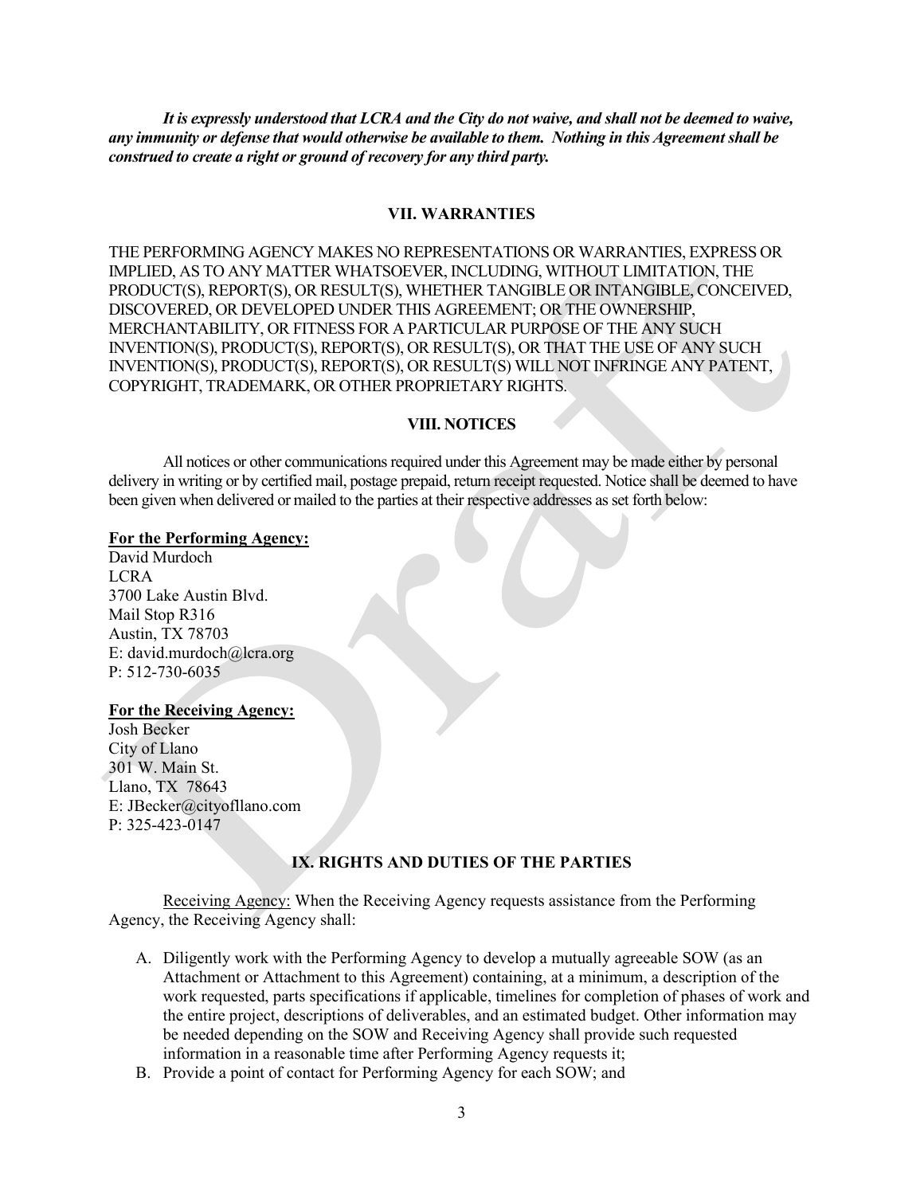*It is expressly understood that LCRA and the City do not waive, and shall not be deemed to waive, any immunity or defense that would otherwise be available to them. Nothing in this Agreement shall be construed to create a right or ground of recovery for any third party.*

#### **VII. WARRANTIES**

THE PERFORMING AGENCY MAKES NO REPRESENTATIONS OR WARRANTIES, EXPRESS OR IMPLIED, AS TO ANY MATTER WHATSOEVER, INCLUDING, WITHOUT LIMITATION, THE PRODUCT(S), REPORT(S), OR RESULT(S), WHETHER TANGIBLE OR INTANGIBLE, CONCEIVED, DISCOVERED, OR DEVELOPED UNDER THIS AGREEMENT; OR THE OWNERSHIP, MERCHANTABILITY, OR FITNESS FOR A PARTICULAR PURPOSE OF THE ANY SUCH INVENTION(S), PRODUCT(S), REPORT(S), OR RESULT(S), OR THAT THE USE OF ANY SUCH INVENTION(S), PRODUCT(S), REPORT(S), OR RESULT(S) WILL NOT INFRINGE ANY PATENT, COPYRIGHT, TRADEMARK, OR OTHER PROPRIETARY RIGHTS.

#### **VIII. NOTICES**

All notices or other communications required under this Agreement may be made either by personal delivery in writing or by certified mail, postage prepaid, return receipt requested. Notice shall be deemed to have been given when delivered or mailed to the parties at their respective addresses as set forth below:

#### **For the Performing Agency:**

David Murdoch LCRA 3700 Lake Austin Blvd. Mail Stop R316 Austin, TX 78703 E: david.murdoch@lcra.org P: 512-730-6035

#### **For the Receiving Agency:**

Josh Becker City of Llano 301 W. Main St. Llano, TX 78643 E: JBecker@cityofllano.com P: 325-423-0147

## **IX. RIGHTS AND DUTIES OF THE PARTIES**

Receiving Agency: When the Receiving Agency requests assistance from the Performing Agency, the Receiving Agency shall:

- A. Diligently work with the Performing Agency to develop a mutually agreeable SOW (as an Attachment or Attachment to this Agreement) containing, at a minimum, a description of the work requested, parts specifications if applicable, timelines for completion of phases of work and the entire project, descriptions of deliverables, and an estimated budget. Other information may be needed depending on the SOW and Receiving Agency shall provide such requested information in a reasonable time after Performing Agency requests it;
- B. Provide a point of contact for Performing Agency for each SOW; and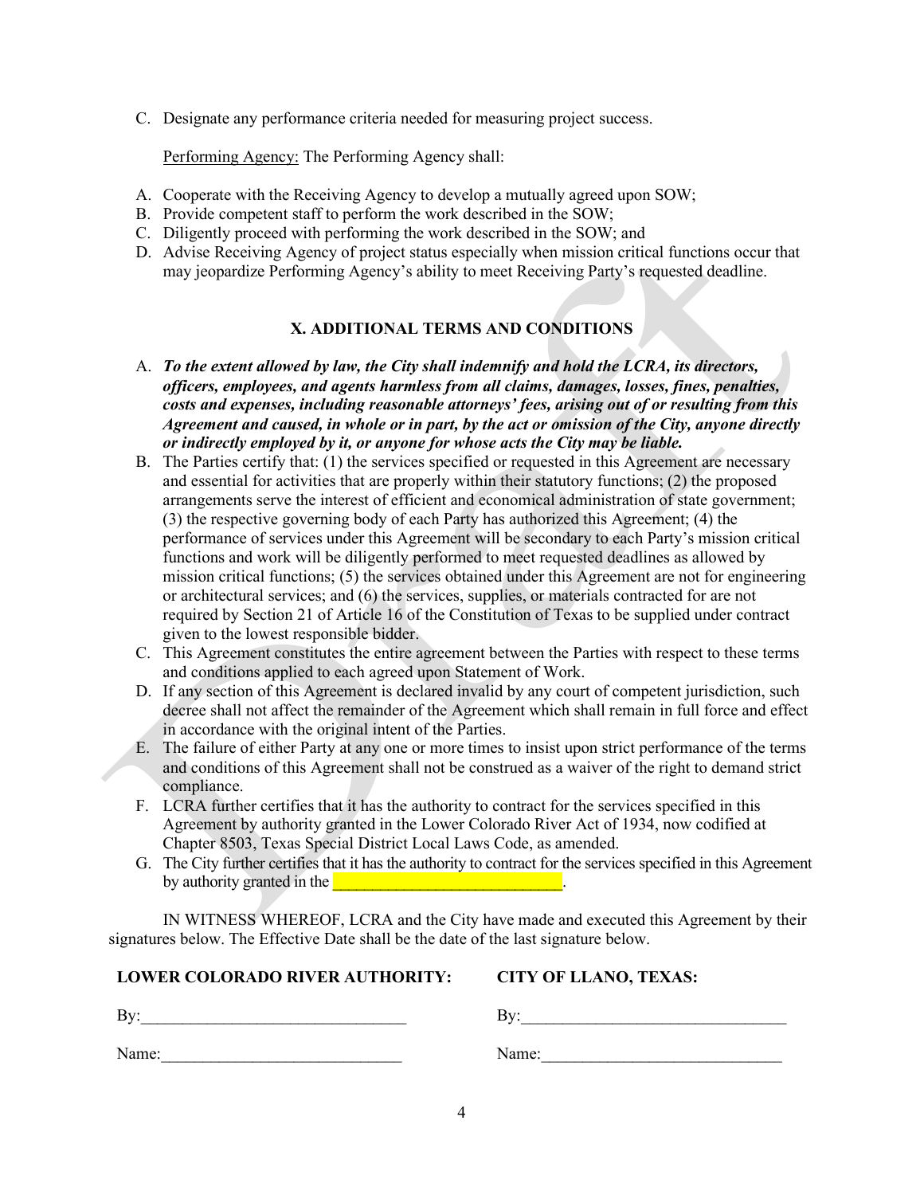C. Designate any performance criteria needed for measuring project success.

Performing Agency: The Performing Agency shall:

- A. Cooperate with the Receiving Agency to develop a mutually agreed upon SOW;
- B. Provide competent staff to perform the work described in the SOW;
- C. Diligently proceed with performing the work described in the SOW; and
- D. Advise Receiving Agency of project status especially when mission critical functions occur that may jeopardize Performing Agency's ability to meet Receiving Party's requested deadline.

# **X. ADDITIONAL TERMS AND CONDITIONS**

- A. *To the extent allowed by law, the City shall indemnify and hold the LCRA, its directors, officers, employees, and agents harmless from all claims, damages, losses, fines, penalties, costs and expenses, including reasonable attorneys' fees, arising out of or resulting from this Agreement and caused, in whole or in part, by the act or omission of the City, anyone directly or indirectly employed by it, or anyone for whose acts the City may be liable.*
- B. The Parties certify that: (1) the services specified or requested in this Agreement are necessary and essential for activities that are properly within their statutory functions; (2) the proposed arrangements serve the interest of efficient and economical administration of state government; (3) the respective governing body of each Party has authorized this Agreement; (4) the performance of services under this Agreement will be secondary to each Party's mission critical functions and work will be diligently performed to meet requested deadlines as allowed by mission critical functions; (5) the services obtained under this Agreement are not for engineering or architectural services; and (6) the services, supplies, or materials contracted for are not required by Section 21 of Article 16 of the Constitution of Texas to be supplied under contract given to the lowest responsible bidder.
- C. This Agreement constitutes the entire agreement between the Parties with respect to these terms and conditions applied to each agreed upon Statement of Work.
- D. If any section of this Agreement is declared invalid by any court of competent jurisdiction, such decree shall not affect the remainder of the Agreement which shall remain in full force and effect in accordance with the original intent of the Parties.
- E. The failure of either Party at any one or more times to insist upon strict performance of the terms and conditions of this Agreement shall not be construed as a waiver of the right to demand strict compliance.
- F. LCRA further certifies that it has the authority to contract for the services specified in this Agreement by authority granted in the Lower Colorado River Act of 1934, now codified at Chapter 8503, Texas Special District Local Laws Code, as amended.
- G. The City further certifies that it has the authority to contract for the services specified in this Agreement by authority granted in the  $\blacksquare$

IN WITNESS WHEREOF, LCRA and the City have made and executed this Agreement by their signatures below. The Effective Date shall be the date of the last signature below.

| <b>LOWER COLORADO RIVER AUTHORITY:</b> | <b>CITY OF LLANO, TEXAS:</b> |
|----------------------------------------|------------------------------|
| Bv:                                    | Bv:                          |
| Name:                                  | Name:                        |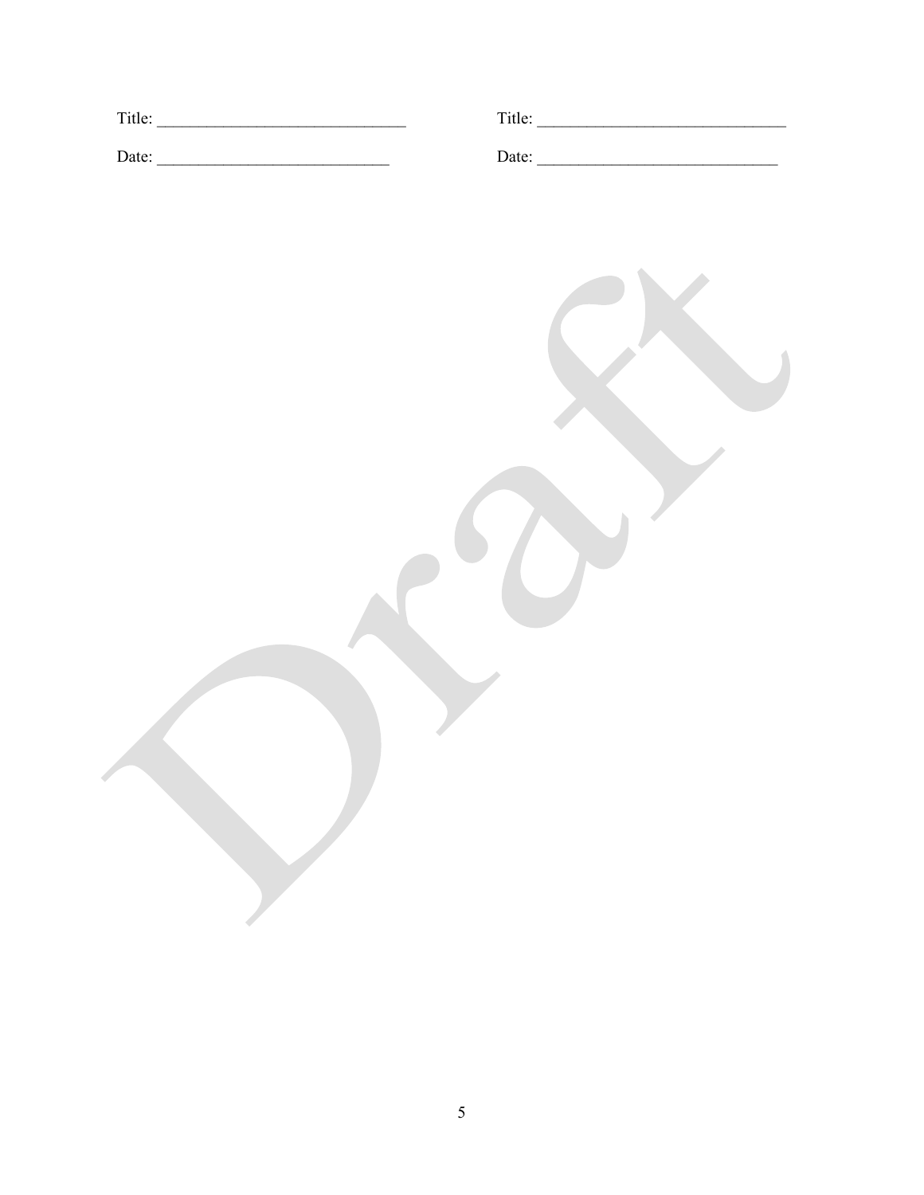| Date: |  |
|-------|--|
|       |  |
|       |  |
|       |  |
|       |  |
|       |  |
|       |  |
|       |  |
|       |  |
|       |  |
|       |  |
|       |  |
|       |  |
|       |  |
|       |  |
|       |  |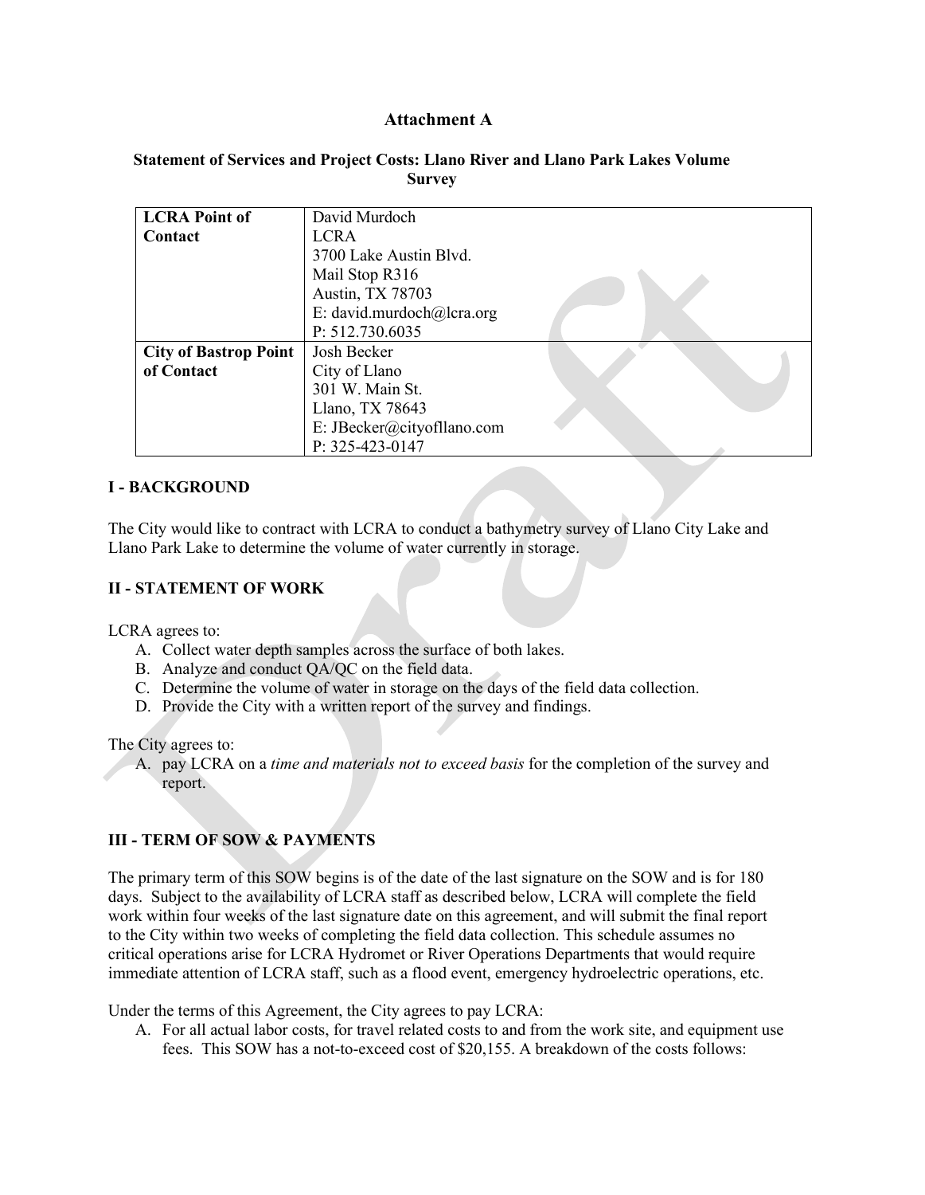## **Attachment A**

#### **Statement of Services and Project Costs: Llano River and Llano Park Lakes Volume Survey**

| <b>LCRA Point of</b>         | David Murdoch              |  |
|------------------------------|----------------------------|--|
| <b>Contact</b>               | <b>LCRA</b>                |  |
|                              | 3700 Lake Austin Blvd.     |  |
|                              | Mail Stop R316             |  |
|                              | Austin, TX 78703           |  |
|                              | E: david.murdoch@lcra.org  |  |
|                              | P: 512.730.6035            |  |
| <b>City of Bastrop Point</b> | Josh Becker                |  |
| of Contact                   | City of Llano              |  |
|                              | 301 W. Main St.            |  |
|                              | Llano, TX 78643            |  |
|                              | E: JBecker@cityofllano.com |  |
|                              | P: 325-423-0147            |  |

## **I - BACKGROUND**

The City would like to contract with LCRA to conduct a bathymetry survey of Llano City Lake and Llano Park Lake to determine the volume of water currently in storage.

#### **II - STATEMENT OF WORK**

LCRA agrees to:

- A. Collect water depth samples across the surface of both lakes.
- B. Analyze and conduct QA/QC on the field data.
- C. Determine the volume of water in storage on the days of the field data collection.
- D. Provide the City with a written report of the survey and findings.

The City agrees to:

A. pay LCRA on a *time and materials not to exceed basis* for the completion of the survey and report.

# **III - TERM OF SOW & PAYMENTS**

The primary term of this SOW begins is of the date of the last signature on the SOW and is for 180 days. Subject to the availability of LCRA staff as described below, LCRA will complete the field work within four weeks of the last signature date on this agreement, and will submit the final report to the City within two weeks of completing the field data collection. This schedule assumes no critical operations arise for LCRA Hydromet or River Operations Departments that would require immediate attention of LCRA staff, such as a flood event, emergency hydroelectric operations, etc.

Under the terms of this Agreement, the City agrees to pay LCRA:

A. For all actual labor costs, for travel related costs to and from the work site, and equipment use fees. This SOW has a not-to-exceed cost of \$20,155. A breakdown of the costs follows: